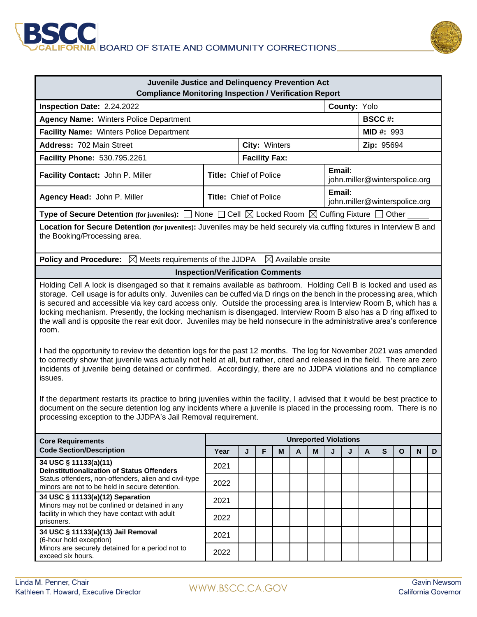



| Juvenile Justice and Delinquency Prevention Act<br><b>Compliance Monitoring Inspection / Verification Report</b>                                                                                                                                                                                                                                                                                                                                                                                                                                                                                                                                                                                                                                                                                                                                                                                                                                                                                                                                                                                                                                                                                                                                                                                                        |                                  |                              |   |   |        |                               |                               |            |                  |           |              |             |   |  |
|-------------------------------------------------------------------------------------------------------------------------------------------------------------------------------------------------------------------------------------------------------------------------------------------------------------------------------------------------------------------------------------------------------------------------------------------------------------------------------------------------------------------------------------------------------------------------------------------------------------------------------------------------------------------------------------------------------------------------------------------------------------------------------------------------------------------------------------------------------------------------------------------------------------------------------------------------------------------------------------------------------------------------------------------------------------------------------------------------------------------------------------------------------------------------------------------------------------------------------------------------------------------------------------------------------------------------|----------------------------------|------------------------------|---|---|--------|-------------------------------|-------------------------------|------------|------------------|-----------|--------------|-------------|---|--|
| County: Yolo<br>Inspection Date: 2.24.2022                                                                                                                                                                                                                                                                                                                                                                                                                                                                                                                                                                                                                                                                                                                                                                                                                                                                                                                                                                                                                                                                                                                                                                                                                                                                              |                                  |                              |   |   |        |                               |                               |            |                  |           |              |             |   |  |
| <b>Agency Name: Winters Police Department</b>                                                                                                                                                                                                                                                                                                                                                                                                                                                                                                                                                                                                                                                                                                                                                                                                                                                                                                                                                                                                                                                                                                                                                                                                                                                                           |                                  |                              |   |   |        |                               |                               |            | <b>BSCC#:</b>    |           |              |             |   |  |
| Facility Name: Winters Police Department                                                                                                                                                                                                                                                                                                                                                                                                                                                                                                                                                                                                                                                                                                                                                                                                                                                                                                                                                                                                                                                                                                                                                                                                                                                                                |                                  |                              |   |   |        |                               |                               |            | <b>MID#: 993</b> |           |              |             |   |  |
| Address: 702 Main Street                                                                                                                                                                                                                                                                                                                                                                                                                                                                                                                                                                                                                                                                                                                                                                                                                                                                                                                                                                                                                                                                                                                                                                                                                                                                                                |                                  | City: Winters                |   |   |        |                               |                               | Zip: 95694 |                  |           |              |             |   |  |
| Facility Phone: 530.795.2261                                                                                                                                                                                                                                                                                                                                                                                                                                                                                                                                                                                                                                                                                                                                                                                                                                                                                                                                                                                                                                                                                                                                                                                                                                                                                            | <b>Facility Fax:</b>             |                              |   |   |        |                               |                               |            |                  |           |              |             |   |  |
| Facility Contact: John P. Miller                                                                                                                                                                                                                                                                                                                                                                                                                                                                                                                                                                                                                                                                                                                                                                                                                                                                                                                                                                                                                                                                                                                                                                                                                                                                                        | Email:<br>Title: Chief of Police |                              |   |   |        |                               | john.miller@winterspolice.org |            |                  |           |              |             |   |  |
| Agency Head: John P. Miller                                                                                                                                                                                                                                                                                                                                                                                                                                                                                                                                                                                                                                                                                                                                                                                                                                                                                                                                                                                                                                                                                                                                                                                                                                                                                             | <b>Title: Chief of Police</b>    |                              |   |   | Email: | john.miller@winterspolice.org |                               |            |                  |           |              |             |   |  |
| Type of Secure Detention (for juveniles): $\Box$ None $\Box$ Cell $\boxtimes$ Locked Room $\boxtimes$ Cuffing Fixture $\Box$ Other                                                                                                                                                                                                                                                                                                                                                                                                                                                                                                                                                                                                                                                                                                                                                                                                                                                                                                                                                                                                                                                                                                                                                                                      |                                  |                              |   |   |        |                               |                               |            |                  |           |              |             |   |  |
| Location for Secure Detention (for juveniles): Juveniles may be held securely via cuffing fixtures in Interview B and<br>the Booking/Processing area.                                                                                                                                                                                                                                                                                                                                                                                                                                                                                                                                                                                                                                                                                                                                                                                                                                                                                                                                                                                                                                                                                                                                                                   |                                  |                              |   |   |        |                               |                               |            |                  |           |              |             |   |  |
| <b>Policy and Procedure:</b><br>$\boxtimes$ Meets requirements of the JJDPA<br>$\boxtimes$ Available onsite                                                                                                                                                                                                                                                                                                                                                                                                                                                                                                                                                                                                                                                                                                                                                                                                                                                                                                                                                                                                                                                                                                                                                                                                             |                                  |                              |   |   |        |                               |                               |            |                  |           |              |             |   |  |
| <b>Inspection/Verification Comments</b>                                                                                                                                                                                                                                                                                                                                                                                                                                                                                                                                                                                                                                                                                                                                                                                                                                                                                                                                                                                                                                                                                                                                                                                                                                                                                 |                                  |                              |   |   |        |                               |                               |            |                  |           |              |             |   |  |
| Holding Cell A lock is disengaged so that it remains available as bathroom. Holding Cell B is locked and used as<br>storage. Cell usage is for adults only. Juveniles can be cuffed via D rings on the bench in the processing area, which<br>is secured and accessible via key card access only. Outside the processing area is Interview Room B, which has a<br>locking mechanism. Presently, the locking mechanism is disengaged. Interview Room B also has a D ring affixed to<br>the wall and is opposite the rear exit door. Juveniles may be held nonsecure in the administrative area's conference<br>room.<br>I had the opportunity to review the detention logs for the past 12 months. The log for November 2021 was amended<br>to correctly show that juvenile was actually not held at all, but rather, cited and released in the field. There are zero<br>incidents of juvenile being detained or confirmed. Accordingly, there are no JJDPA violations and no compliance<br>issues.<br>If the department restarts its practice to bring juveniles within the facility, I advised that it would be best practice to<br>document on the secure detention log any incidents where a juvenile is placed in the processing room. There is no<br>processing exception to the JJDPA's Jail Removal requirement. |                                  |                              |   |   |        |                               |                               |            |                  |           |              |             |   |  |
| <b>Core Requirements</b><br><b>Code Section/Description</b>                                                                                                                                                                                                                                                                                                                                                                                                                                                                                                                                                                                                                                                                                                                                                                                                                                                                                                                                                                                                                                                                                                                                                                                                                                                             |                                  | <b>Unreported Violations</b> |   |   |        |                               |                               |            |                  |           |              |             |   |  |
|                                                                                                                                                                                                                                                                                                                                                                                                                                                                                                                                                                                                                                                                                                                                                                                                                                                                                                                                                                                                                                                                                                                                                                                                                                                                                                                         | Year                             | J                            | F | M | A      | M                             | J                             | J          | A                | ${\sf s}$ | $\mathbf{o}$ | $\mathbf N$ | D |  |
| 34 USC § 11133(a)(11)<br><b>Deinstitutionalization of Status Offenders</b><br>Status offenders, non-offenders, alien and civil-type<br>minors are not to be held in secure detention.                                                                                                                                                                                                                                                                                                                                                                                                                                                                                                                                                                                                                                                                                                                                                                                                                                                                                                                                                                                                                                                                                                                                   | 2021                             |                              |   |   |        |                               |                               |            |                  |           |              |             |   |  |
|                                                                                                                                                                                                                                                                                                                                                                                                                                                                                                                                                                                                                                                                                                                                                                                                                                                                                                                                                                                                                                                                                                                                                                                                                                                                                                                         | 2022                             |                              |   |   |        |                               |                               |            |                  |           |              |             |   |  |
| 34 USC § 11133(a)(12) Separation<br>Minors may not be confined or detained in any<br>facility in which they have contact with adult<br>prisoners.                                                                                                                                                                                                                                                                                                                                                                                                                                                                                                                                                                                                                                                                                                                                                                                                                                                                                                                                                                                                                                                                                                                                                                       | 2021                             |                              |   |   |        |                               |                               |            |                  |           |              |             |   |  |
|                                                                                                                                                                                                                                                                                                                                                                                                                                                                                                                                                                                                                                                                                                                                                                                                                                                                                                                                                                                                                                                                                                                                                                                                                                                                                                                         | 2022                             |                              |   |   |        |                               |                               |            |                  |           |              |             |   |  |
| 34 USC § 11133(a)(13) Jail Removal<br>(6-hour hold exception)                                                                                                                                                                                                                                                                                                                                                                                                                                                                                                                                                                                                                                                                                                                                                                                                                                                                                                                                                                                                                                                                                                                                                                                                                                                           | 2021                             |                              |   |   |        |                               |                               |            |                  |           |              |             |   |  |
| Minors are securely detained for a period not to<br>exceed six hours.                                                                                                                                                                                                                                                                                                                                                                                                                                                                                                                                                                                                                                                                                                                                                                                                                                                                                                                                                                                                                                                                                                                                                                                                                                                   | 2022                             |                              |   |   |        |                               |                               |            |                  |           |              |             |   |  |